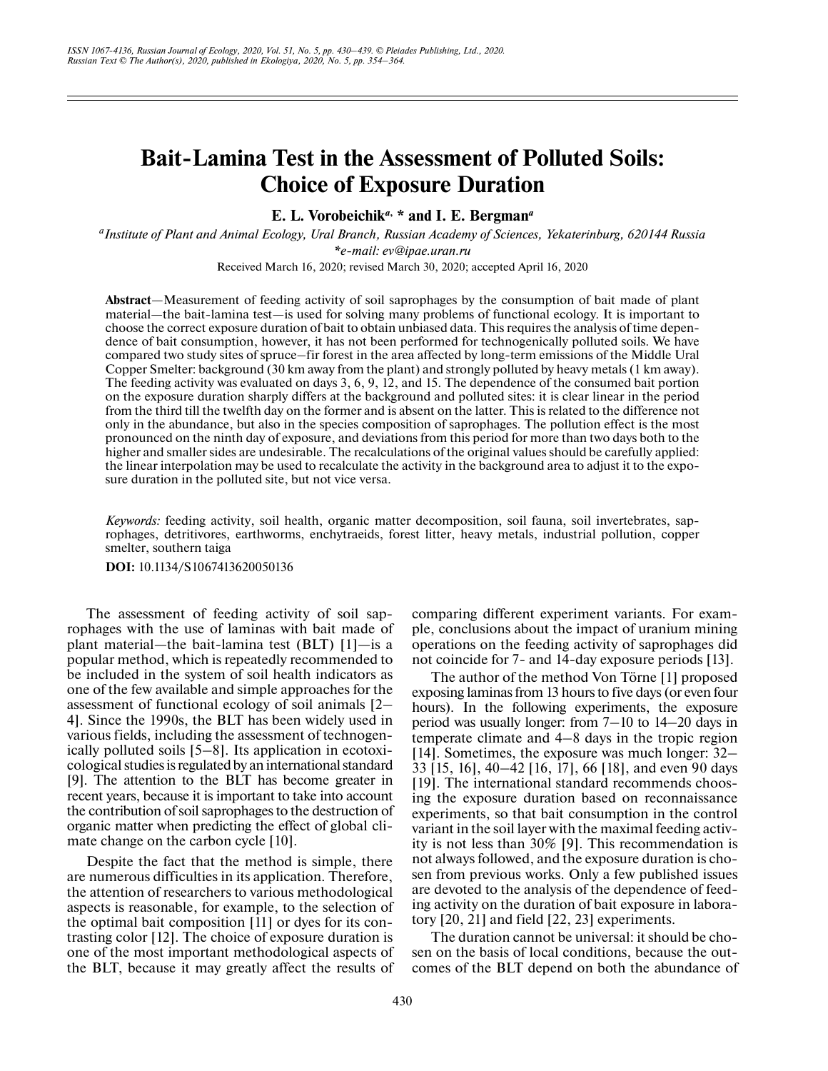# **Bait-Lamina Test in the Assessment of Polluted Soils: Choice of Exposure Duration**

**E. L. Vorobeichik***a***, \* and I. E. Bergman***<sup>a</sup>*

*aInstitute of Plant and Animal Ecology, Ural Branch, Russian Academy of Sciences, Yekaterinburg, 620144 Russia \*e-mail: ev@ipae.uran.ru*

Received March 16, 2020; revised March 30, 2020; accepted April 16, 2020

**Abstract**—Measurement of feeding activity of soil saprophages by the consumption of bait made of plant material—the bait-lamina test—is used for solving many problems of functional ecology. It is important to choose the correct exposure duration of bait to obtain unbiased data. This requires the analysis of time dependence of bait consumption, however, it has not been performed for technogenically polluted soils. We have compared two study sites of spruce–fir forest in the area affected by long-term emissions of the Middle Ural Copper Smelter: background (30 km away from the plant) and strongly polluted by heavy metals (1 km away). The feeding activity was evaluated on days 3, 6, 9, 12, and 15. The dependence of the consumed bait portion on the exposure duration sharply differs at the background and polluted sites: it is clear linear in the period from the third till the twelfth day on the former and is absent on the latter. This is related to the difference not only in the abundance, but also in the species composition of saprophages. The pollution effect is the most pronounced on the ninth day of exposure, and deviations from this period for more than two days both to the higher and smaller sides are undesirable. The recalculations of the original values should be carefully applied: the linear interpolation may be used to recalculate the activity in the background area to adjust it to the exposure duration in the polluted site, but not vice versa.

*Keywords:* feeding activity, soil health, organic matter decomposition, soil fauna, soil invertebrates, saprophages, detritivores, earthworms, enchytraeids, forest litter, heavy metals, industrial pollution, copper smelter, southern taiga

**DOI:** 10.1134/S1067413620050136

The assessment of feeding activity of soil saprophages with the use of laminas with bait made of plant material—the bait-lamina test (BLT) [1]—is a popular method, which is repeatedly recommended to be included in the system of soil health indicators as one of the few available and simple approaches for the assessment of functional ecology of soil animals [2– 4]. Since the 1990s, the BLT has been widely used in various fields, including the assessment of technogenically polluted soils [5–8]. Its application in ecotoxicological studies is regulated by an international standard [9]. The attention to the BLT has become greater in recent years, because it is important to take into account the contribution of soil saprophages to the destruction of organic matter when predicting the effect of global climate change on the carbon cycle [10].

Despite the fact that the method is simple, there are numerous difficulties in its application. Therefore, the attention of researchers to various methodological aspects is reasonable, for example, to the selection of the optimal bait composition [11] or dyes for its contrasting color [12]. The choice of exposure duration is one of the most important methodological aspects of the BLT, because it may greatly affect the results of comparing different experiment variants. For example, conclusions about the impact of uranium mining operations on the feeding activity of saprophages did not coincide for 7- and 14-day exposure periods [13].

The author of the method Von Törne [1] proposed exposing laminas from 13 hours to five days (or even four hours). In the following experiments, the exposure period was usually longer: from 7–10 to 14–20 days in temperate climate and 4–8 days in the tropic region [14]. Sometimes, the exposure was much longer: 32– 33 [15, 16], 40–42 [16, 17], 66 [18], and even 90 days [19]. The international standard recommends choosing the exposure duration based on reconnaissance experiments, so that bait consumption in the control variant in the soil layer with the maximal feeding activity is not less than 30% [9]. This recommendation is not always followed, and the exposure duration is chosen from previous works. Only a few published issues are devoted to the analysis of the dependence of feeding activity on the duration of bait exposure in laboratory [20, 21] and field [22, 23] experiments.

The duration cannot be universal: it should be chosen on the basis of local conditions, because the outcomes of the BLT depend on both the abundance of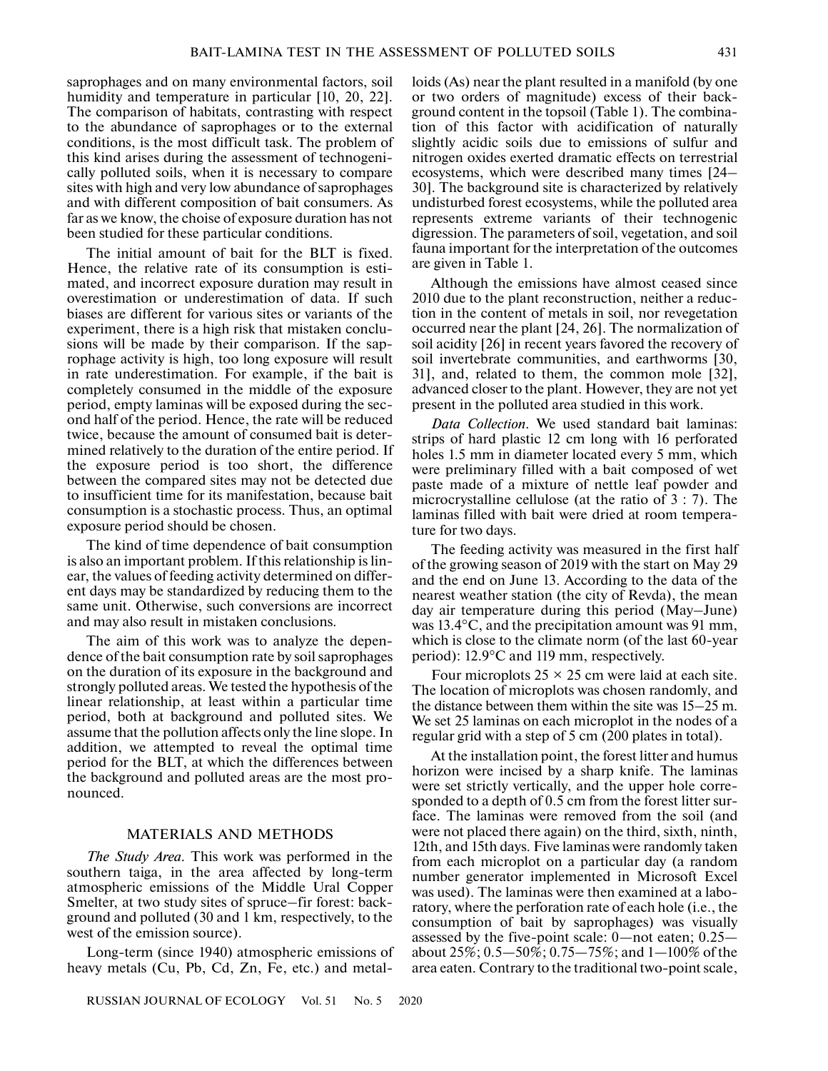saprophages and on many environmental factors, soil humidity and temperature in particular [10, 20, 22]. The comparison of habitats, contrasting with respect to the abundance of saprophages or to the external conditions, is the most difficult task. The problem of this kind arises during the assessment of technogenically polluted soils, when it is necessary to compare sites with high and very low abundance of saprophages and with different composition of bait consumers. As far as we know, the choise of exposure duration has not been studied for these particular conditions.

The initial amount of bait for the BLT is fixed. Hence, the relative rate of its consumption is estimated, and incorrect exposure duration may result in overestimation or underestimation of data. If such biases are different for various sites or variants of the experiment, there is a high risk that mistaken conclusions will be made by their comparison. If the saprophage activity is high, too long exposure will result in rate underestimation. For example, if the bait is completely consumed in the middle of the exposure period, empty laminas will be exposed during the second half of the period. Hence, the rate will be reduced twice, because the amount of consumed bait is determined relatively to the duration of the entire period. If the exposure period is too short, the difference between the compared sites may not be detected due to insufficient time for its manifestation, because bait consumption is a stochastic process. Thus, an optimal exposure period should be chosen.

The kind of time dependence of bait consumption is also an important problem. If this relationship is linear, the values of feeding activity determined on different days may be standardized by reducing them to the same unit. Otherwise, such conversions are incorrect and may also result in mistaken conclusions.

The aim of this work was to analyze the dependence of the bait consumption rate by soil saprophages on the duration of its exposure in the background and strongly polluted areas. We tested the hypothesis of the linear relationship, at least within a particular time period, both at background and polluted sites. We assume that the pollution affects only the line slope. In addition, we attempted to reveal the optimal time period for the BLT, at which the differences between the background and polluted areas are the most pronounced.

# MATERIALS AND METHODS

*The Study Area.* This work was performed in the southern taiga, in the area affected by long-term atmospheric emissions of the Middle Ural Copper Smelter, at two study sites of spruce–fir forest: background and polluted (30 and 1 km, respectively, to the west of the emission source).

Long-term (since 1940) atmospheric emissions of heavy metals (Cu, Pb, Cd, Zn, Fe, etc.) and metal-

loids (As) near the plant resulted in a manifold (by one or two orders of magnitude) excess of their background content in the topsoil (Table 1). The combination of this factor with acidification of naturally slightly acidic soils due to emissions of sulfur and nitrogen oxides exerted dramatic effects on terrestrial ecosystems, which were described many times [24– 30]. The background site is characterized by relatively undisturbed forest ecosystems, while the polluted area represents extreme variants of their technogenic digression. The parameters of soil, vegetation, and soil fauna important for the interpretation of the outcomes are given in Table 1.

Although the emissions have almost ceased since 2010 due to the plant reconstruction, neither a reduction in the content of metals in soil, nor revegetation occurred near the plant [24, 26]. The normalization of soil acidity [26] in recent years favored the recovery of soil invertebrate communities, and earthworms [30, 31], and, related to them, the common mole [32], advanced closer to the plant. However, they are not yet present in the polluted area studied in this work.

*Data Collection.* We used standard bait laminas: strips of hard plastic 12 cm long with 16 perforated holes 1.5 mm in diameter located every 5 mm, which were preliminary filled with a bait composed of wet paste made of a mixture of nettle leaf powder and microcrystalline cellulose (at the ratio of 3 : 7). The laminas filled with bait were dried at room temperature for two days.

The feeding activity was measured in the first half of the growing season of 2019 with the start on May 29 and the end on June 13. According to the data of the nearest weather station (the city of Revda), the mean day air temperature during this period (May–June) was 13.4°C, and the precipitation amount was 91 mm, which is close to the climate norm (of the last 60-year period): 12.9°C and 119 mm, respectively.

Four microplots  $25 \times 25$  cm were laid at each site. The location of microplots was chosen randomly, and the distance between them within the site was 15–25 m. We set 25 laminas on each microplot in the nodes of a regular grid with a step of 5 cm (200 plates in total).

At the installation point, the forest litter and humus horizon were incised by a sharp knife. The laminas were set strictly vertically, and the upper hole corresponded to a depth of 0.5 cm from the forest litter surface. The laminas were removed from the soil (and were not placed there again) on the third, sixth, ninth, 12th, and 15th days. Five laminas were randomly taken from each microplot on a particular day (a random number generator implemented in Microsoft Excel was used). The laminas were then examined at a laboratory, where the perforation rate of each hole (i.e., the consumption of bait by saprophages) was visually assessed by the five-point scale: 0—not eaten; 0.25 about 25%; 0.5—50%; 0.75—75%; and 1—100% of the area eaten. Contrary to the traditional two-point scale,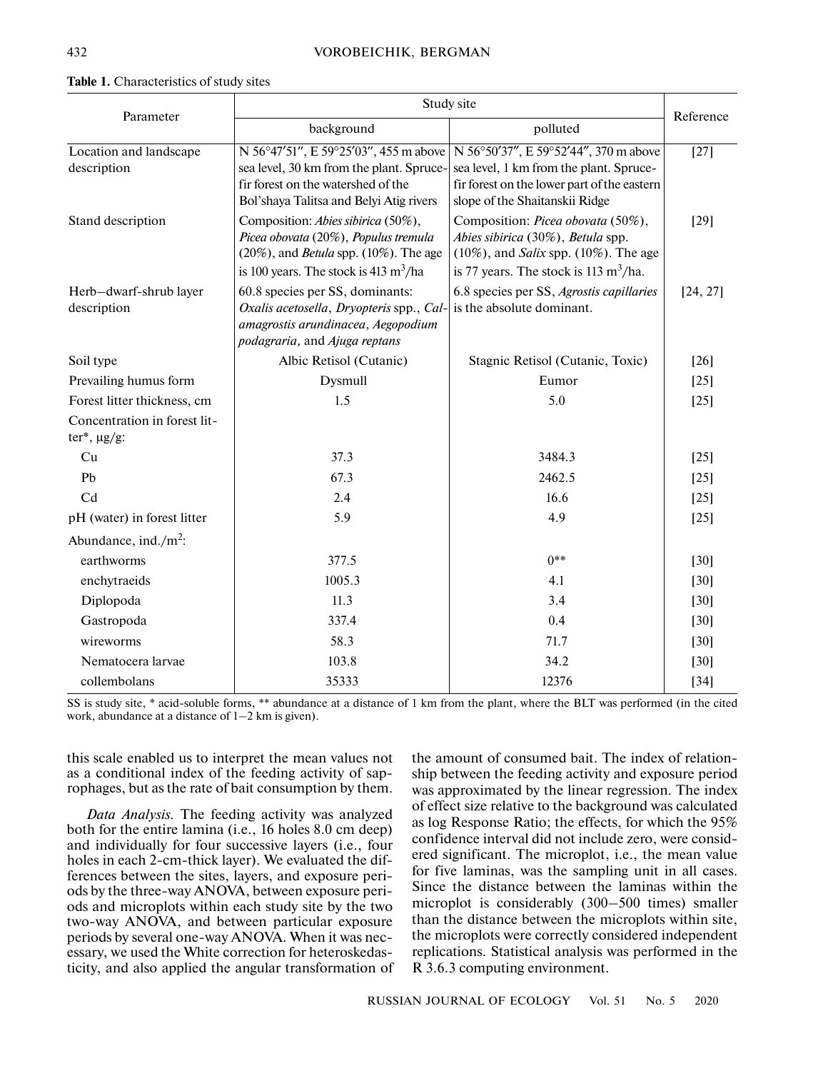| Parameter                                             | Study site                                                                                                                                                                                                                  |                                                                                                                                                                           |                    |  |
|-------------------------------------------------------|-----------------------------------------------------------------------------------------------------------------------------------------------------------------------------------------------------------------------------|---------------------------------------------------------------------------------------------------------------------------------------------------------------------------|--------------------|--|
|                                                       | background                                                                                                                                                                                                                  | polluted                                                                                                                                                                  | Reference          |  |
| Location and landscape<br>description                 | N 56°47'51", E 59°25'03", 455 m above<br>sea level, 30 km from the plant. Spruce-<br>fir forest on the watershed of the<br>Bol'shaya Talitsa and Belyi Atig rivers                                                          | N 56°50'37", E 59°52'44", 370 m above<br>sea level, 1 km from the plant. Spruce-<br>fir forest on the lower part of the eastern<br>slope of the Shaitanskii Ridge         | $[27]$             |  |
| Stand description                                     | Composition: Abies sibirica (50%),<br>Picea obovata (20%), Populus tremula<br>$(20\%)$ , and <i>Betula</i> spp. $(10\%)$ . The age<br>is 100 years. The stock is 413 $\text{m}^3/\text{ha}$                                 | Composition: Picea obovata (50%),<br>Abies sibirica (30%), Betula spp.<br>$(10\%)$ , and <i>Salix</i> spp. $(10\%)$ . The age<br>is 77 years. The stock is 113 $m^3/ha$ . | $[29]$             |  |
| Herb-dwarf-shrub layer<br>description                 | 60.8 species per SS, dominants:<br>6.8 species per SS, Agrostis capillaries<br>Oxalis acetosella, Dryopteris spp., Cal-<br>is the absolute dominant.<br>amagrostis arundinacea, Aegopodium<br>podagraria, and Ajuga reptans |                                                                                                                                                                           | [24, 27]           |  |
| Soil type                                             | Albic Retisol (Cutanic)                                                                                                                                                                                                     | Stagnic Retisol (Cutanic, Toxic)                                                                                                                                          | $[26]$             |  |
| Prevailing humus form                                 | Dysmull                                                                                                                                                                                                                     | Eumor                                                                                                                                                                     | $[25]$             |  |
| Forest litter thickness, cm                           | 1.5                                                                                                                                                                                                                         | 5.0                                                                                                                                                                       | $[25]$             |  |
| Concentration in forest lit-<br>$ter^*$ , $\mu g/g$ : |                                                                                                                                                                                                                             |                                                                                                                                                                           |                    |  |
| Cu                                                    | 37.3                                                                                                                                                                                                                        | 3484.3                                                                                                                                                                    | $\lceil 25 \rceil$ |  |
| Pb                                                    | 67.3                                                                                                                                                                                                                        | 2462.5                                                                                                                                                                    | $[25]$             |  |
| Cd                                                    | 2.4                                                                                                                                                                                                                         | 16.6                                                                                                                                                                      | $[25]$             |  |
| pH (water) in forest litter                           | 5.9                                                                                                                                                                                                                         | 4.9                                                                                                                                                                       | $[25]$             |  |
| Abundance, ind./ $m^2$ :                              |                                                                                                                                                                                                                             |                                                                                                                                                                           |                    |  |
| earthworms                                            | 377.5                                                                                                                                                                                                                       | $0***$                                                                                                                                                                    | $[30]$             |  |
| enchytraeids                                          | 1005.3                                                                                                                                                                                                                      | 4.1                                                                                                                                                                       | $[30]$             |  |
| Diplopoda                                             | 11.3                                                                                                                                                                                                                        | 3.4                                                                                                                                                                       | $[30]$             |  |
| Gastropoda                                            | 337.4                                                                                                                                                                                                                       | 0.4                                                                                                                                                                       | $[30]$             |  |
| wireworms                                             | 58.3                                                                                                                                                                                                                        | 71.7                                                                                                                                                                      | $[30]$             |  |
| Nematocera larvae                                     | 103.8                                                                                                                                                                                                                       | 34.2                                                                                                                                                                      | $[30]$             |  |
| collembolans                                          | 35333                                                                                                                                                                                                                       | 12376                                                                                                                                                                     | $[34]$             |  |

# **Table 1.** Characteristics of study sites

SS is study site, \* acid-soluble forms, \*\* abundance at a distance of 1 km from the plant, where the BLT was performed (in the cited work, abundance at a distance of 1–2 km is given).

this scale enabled us to interpret the mean values not as a conditional index of the feeding activity of saprophages, but as the rate of bait consumption by them.

*Data Analysis.* The feeding activity was analyzed both for the entire lamina (i.e., 16 holes 8.0 cm deep) and individually for four successive layers (i.e., four holes in each 2-cm-thick layer). We evaluated the differences between the sites, layers, and exposure periods by the three-way ANOVA, between exposure periods and microplots within each study site by the two two-way ANOVA, and between particular exposure periods by several one-way ANOVA. When it was necessary, we used the White correction for heteroskedasticity, and also applied the angular transformation of the amount of consumed bait. The index of relationship between the feeding activity and exposure period was approximated by the linear regression. The index of effect size relative to the background was calculated as log Response Ratio; the effects, for which the 95% confidence interval did not include zero, were considered significant. The microplot, i.e., the mean value for five laminas, was the sampling unit in all cases. Since the distance between the laminas within the microplot is considerably (300–500 times) smaller than the distance between the microplots within site, the microplots were correctly considered independent replications. Statistical analysis was performed in the R 3.6.3 computing environment.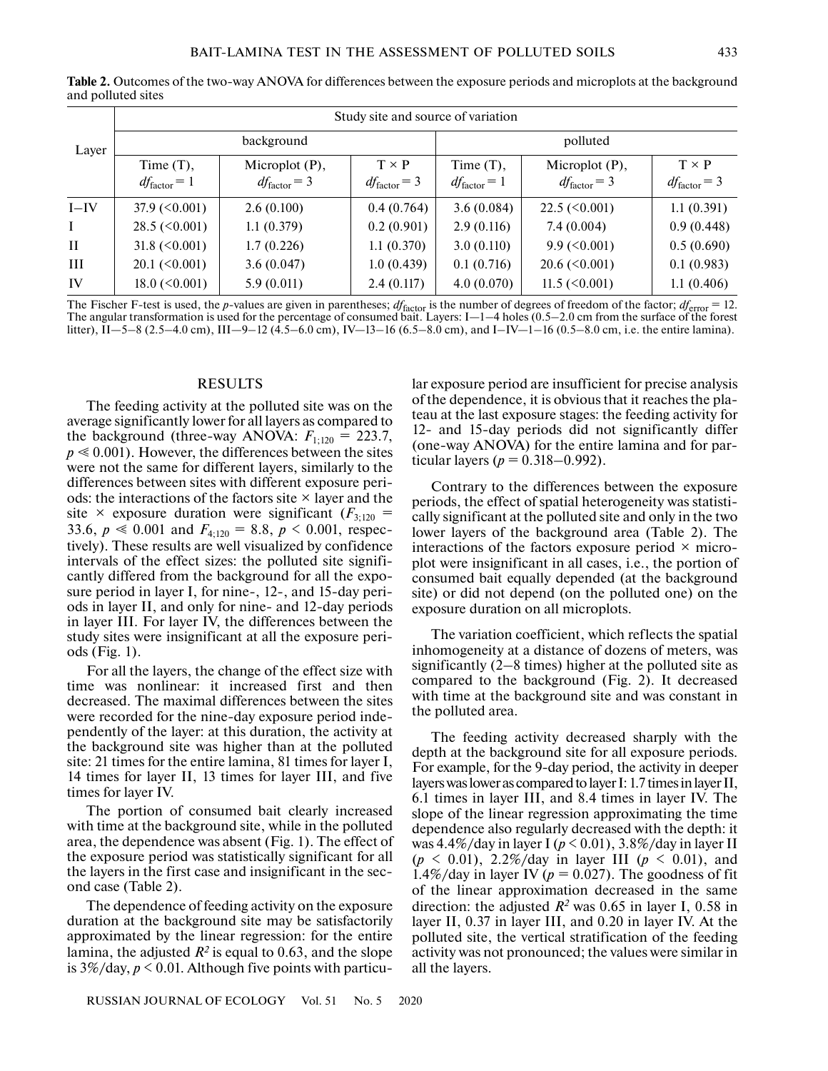| Layer     | Study site and source of variation |                          |                          |                          |                                  |                          |  |
|-----------|------------------------------------|--------------------------|--------------------------|--------------------------|----------------------------------|--------------------------|--|
|           | background                         |                          |                          | polluted                 |                                  |                          |  |
|           | Time $(T)$ ,                       | Microplot $(P)$ ,        | $T \times P$             | Time $(T)$ ,             | Microplot $(P)$ ,                | $T \times P$             |  |
|           | $df_{\text{factor}} = 1$           | $df_{\text{factor}} = 3$ | $df_{\text{factor}} = 3$ | $df_{\text{factor}} = 1$ | $df_{\text{factor}} = 3$         | $df_{\text{factor}} = 3$ |  |
| $I-IV$    | $37.9 \,(< 0.001)$                 | 2.6(0.100)               | 0.4(0.764)               | 3.6(0.084)               | $22.5 \left( \leq 0.001 \right)$ | 1.1(0.391)               |  |
| L         | $28.5 \left( \leq 0.001 \right)$   | 1.1(0.379)               | 0.2(0.901)               | 2.9(0.116)               | 7.4(0.004)                       | 0.9(0.448)               |  |
| $\rm{II}$ | $31.8 \ (20.001)$                  | 1.7(0.226)               | 1.1(0.370)               | 3.0(0.110)               | $9.9 \left( \leq 0.001 \right)$  | 0.5(0.690)               |  |
| Ш         | $20.1 (\leq 0.001)$                | 3.6(0.047)               | 1.0(0.439)               | 0.1(0.716)               | $20.6 \, (\leq 0.001)$           | 0.1(0.983)               |  |
| IV        | $18.0 \ (20.001)$                  | 5.9(0.011)               | 2.4(0.117)               | 4.0(0.070)               | $11.5 \; (<0.001)$               | 1.1(0.406)               |  |

**Table 2.** Outcomes of the two-way ANOVA for differences between the exposure periods and microplots at the background and polluted sites

The Fischer F-test is used, the *p*-values are given in parentheses;  $df_{factor}$  is the number of degrees of freedom of the factor;  $df_{error} = 12$ .<br>The angular transformation is used for the percentage of consumed bait. Layers: I litter), II—5–8 (2.5–4.0 cm), III—9–12 (4.5–6.0 cm), IV—13–16 (6.5–8.0 cm), and I–IV—1–16 (0.5–8.0 cm, i.e. the entire lamina).

# RESULTS

The feeding activity at the polluted site was on the average significantly lower for all layers as compared to the background (three-way ANOVA:  $F_{1;120} = 223.7$ ,  $p \ll 0.001$ ). However, the differences between the sites were not the same for different layers, similarly to the differences between sites with different exposure periods: the interactions of the factors site  $\times$  layer and the site  $\times$  exposure duration were significant ( $F_{3;120}$  = 33.6,  $p \le 0.001$  and  $F_{4:120} = 8.8$ ,  $p \le 0.001$ , respectively). These results are well visualized by confidence intervals of the effect sizes: the polluted site significantly differed from the background for all the exposure period in layer I, for nine-, 12-, and 15-day periods in layer II, and only for nine- and 12-day periods in layer III. For layer IV, the differences between the study sites were insignificant at all the exposure periods (Fig. 1).

For all the layers, the change of the effect size with time was nonlinear: it increased first and then decreased. The maximal differences between the sites were recorded for the nine-day exposure period independently of the layer: at this duration, the activity at the background site was higher than at the polluted site: 21 times for the entire lamina, 81 times for layer I, 14 times for layer II, 13 times for layer III, and five times for layer IV.

The portion of consumed bait clearly increased with time at the background site, while in the polluted area, the dependence was absent (Fig. 1). The effect of the exposure period was statistically significant for all the layers in the first case and insignificant in the second case (Table 2).

The dependence of feeding activity on the exposure duration at the background site may be satisfactorily approximated by the linear regression: for the entire lamina, the adjusted  $R^2$  is equal to 0.63, and the slope is  $3\%/day, p \leq 0.01$ . Although five points with particular exposure period are insufficient for precise analysis of the dependence, it is obvious that it reaches the plateau at the last exposure stages: the feeding activity for 12- and 15-day periods did not significantly differ (one-way ANOVA) for the entire lamina and for particular layers ( $p = 0.318 - 0.992$ ).

Contrary to the differences between the exposure periods, the effect of spatial heterogeneity was statistically significant at the polluted site and only in the two lower layers of the background area (Table 2). The interactions of the factors exposure period  $\times$  microplot were insignificant in all cases, i.e., the portion of consumed bait equally depended (at the background site) or did not depend (on the polluted one) on the exposure duration on all microplots.

The variation coefficient, which reflects the spatial inhomogeneity at a distance of dozens of meters, was significantly (2–8 times) higher at the polluted site as compared to the background (Fig. 2). It decreased with time at the background site and was constant in the polluted area.

The feeding activity decreased sharply with the depth at the background site for all exposure periods. For example, for the 9-day period, the activity in deeper layers was lower as compared to layer I: 1.7 times in layer II, 6.1 times in layer III, and 8.4 times in layer IV. The slope of the linear regression approximating the time dependence also regularly decreased with the depth: it was 4.4%/day in layer I (*p* < 0.01), 3.8%/day in layer II  $(p \le 0.01)$ , 2.2%/day in layer III ( $p \le 0.01$ ), and 1.4%/day in layer IV ( $p = 0.027$ ). The goodness of fit of the linear approximation decreased in the same direction: the adjusted  $R^2$  was 0.65 in layer I, 0.58 in layer II, 0.37 in layer III, and 0.20 in layer IV. At the polluted site, the vertical stratification of the feeding activity was not pronounced; the values were similar in all the layers.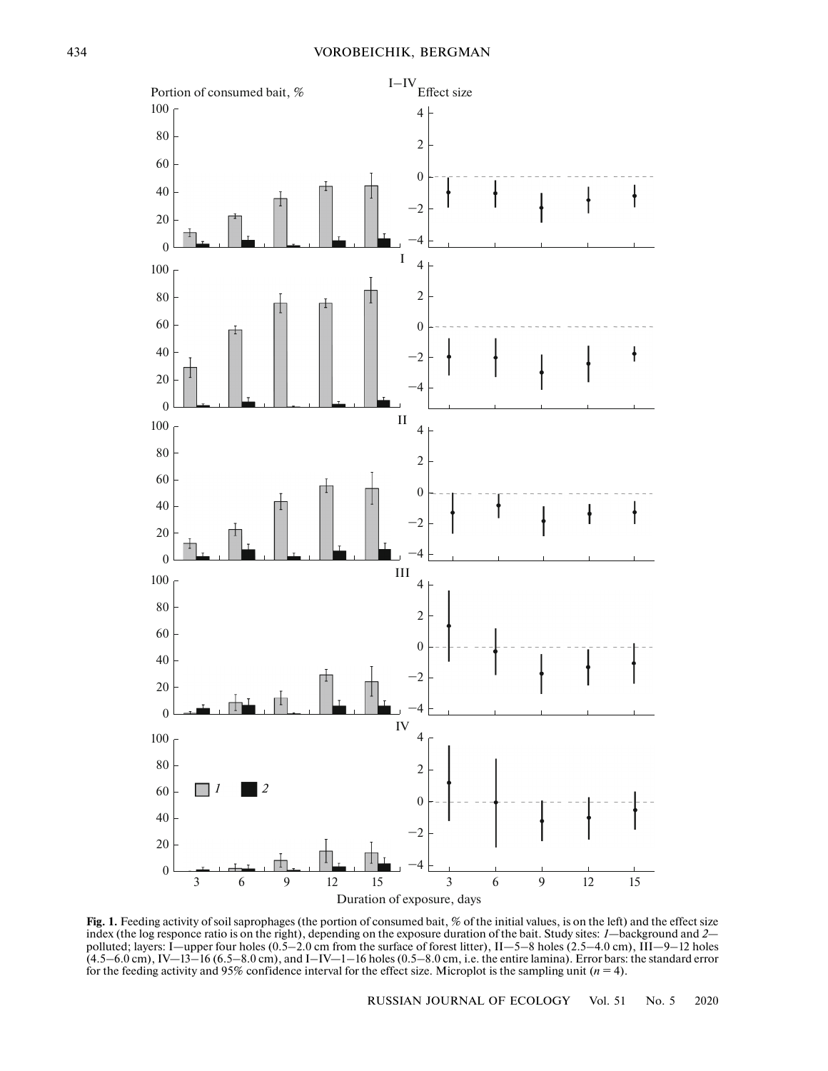

Fig. 1. Feeding activity of soil saprophages (the portion of consumed bait, % of the initial values, is on the left) and the effect size index (the log responce ratio is on the right), depending on the exposure duration of the bait. Study sites: *1*—background and *2* polluted; layers: I—upper four holes (0.5–2.0 cm from the surface of forest litter), II—5–8 holes (2.5–4.0 cm), III—9–12 holes  $(4.5-6.0 \text{ cm})$ , IV—13–16  $(6.5-8.0 \text{ cm})$ , and I–IV—1–16 holes  $(0.5-8.0 \text{ cm})$ , i.e. the entire lamina). Error bars: the standard error for the feeding activity and 95% confidence interval for the effect size. Microplot is the sampling unit (*n* = 4).

RUSSIAN JOURNAL OF ECOLOGY Vol. 51 No. 5 2020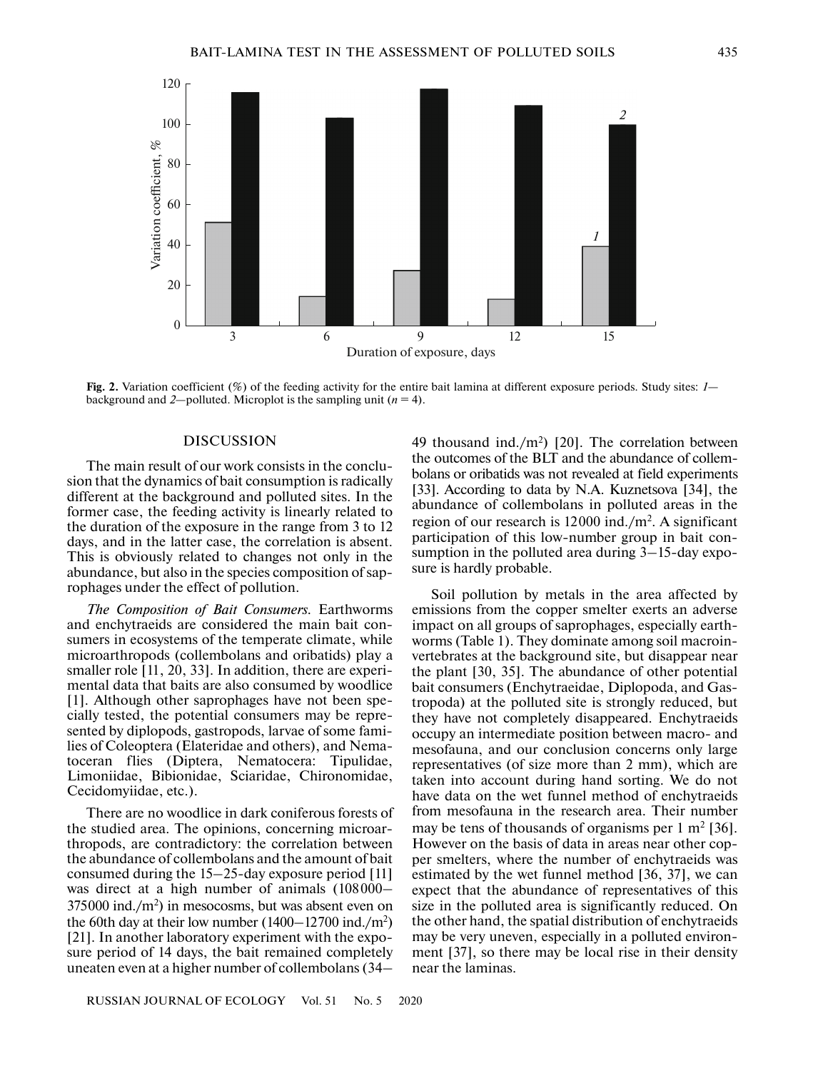

**Fig. 2.** Variation coefficient (%) of the feeding activity for the entire bait lamina at different exposure periods. Study sites: *1* background and 2—polluted. Microplot is the sampling unit  $(n = 4)$ .

# DISCUSSION

The main result of our work consists in the conclusion that the dynamics of bait consumption is radically different at the background and polluted sites. In the former case, the feeding activity is linearly related to the duration of the exposure in the range from 3 to 12 days, and in the latter case, the correlation is absent. This is obviously related to changes not only in the abundance, but also in the species composition of saprophages under the effect of pollution.

*The Composition of Bait Consumers.* Earthworms and enchytraeids are considered the main bait consumers in ecosystems of the temperate climate, while microarthropods (collembolans and oribatids) play a smaller role [11, 20, 33]. In addition, there are experimental data that baits are also consumed by woodlice [1]. Although other saprophages have not been specially tested, the potential consumers may be represented by diplopods, gastropods, larvae of some families of Coleoptera (Elateridae and others), and Nematoceran flies (Diptera, Nematocera: Tipulidae, Limoniidae, Bibionidae, Sciaridae, Сhironomidae, Cecidomyiidae, etc.).

There are no woodlice in dark coniferous forests of the studied area. The opinions, concerning microarthropods, are contradictory: the correlation between the abundance of collembolans and the amount of bait consumed during the 15–25-day exposure period [11] was direct at a high number of animals (108000–  $375000$  ind./ $m<sup>2</sup>$ ) in mesocosms, but was absent even on the 60th day at their low number  $(1400 - 12700$  ind./m<sup>2</sup>) [21]. In another laboratory experiment with the exposure period of 14 days, the bait remained completely uneaten even at a higher number of collembolans (34–

49 thousand ind./m<sup>2</sup>) [20]. The correlation between the outcomes of the BLT and the abundance of collembolans or oribatids was not revealed at field experiments [33]. According to data by N.A. Kuznetsova [34], the abundance of collembolans in polluted areas in the region of our research is 12000 ind./m<sup>2</sup>. A significant participation of this low-number group in bait consumption in the polluted area during 3–15-day exposure is hardly probable.

Soil pollution by metals in the area affected by emissions from the copper smelter exerts an adverse impact on all groups of saprophages, especially earthworms (Table 1). They dominate among soil macroinvertebrates at the background site, but disappear near the plant [30, 35]. The abundance of other potential bait consumers (Enchytraeidae, Diplopoda, and Gastropoda) at the polluted site is strongly reduced, but they have not completely disappeared. Enchytraeids occupy an intermediate position between macro- and mesofauna, and our conclusion concerns only large representatives (of size more than 2 mm), which are taken into account during hand sorting. We do not have data on the wet funnel method of enchytraeids from mesofauna in the research area. Their number may be tens of thousands of organisms per  $1 \text{ m}^2$  [36]. However on the basis of data in areas near other copper smelters, where the number of enchytraeids was estimated by the wet funnel method [36, 37], we can expect that the abundance of representatives of this size in the polluted area is significantly reduced. On the other hand, the spatial distribution of enchytraeids may be very uneven, especially in a polluted environment [37], so there may be local rise in their density near the laminas.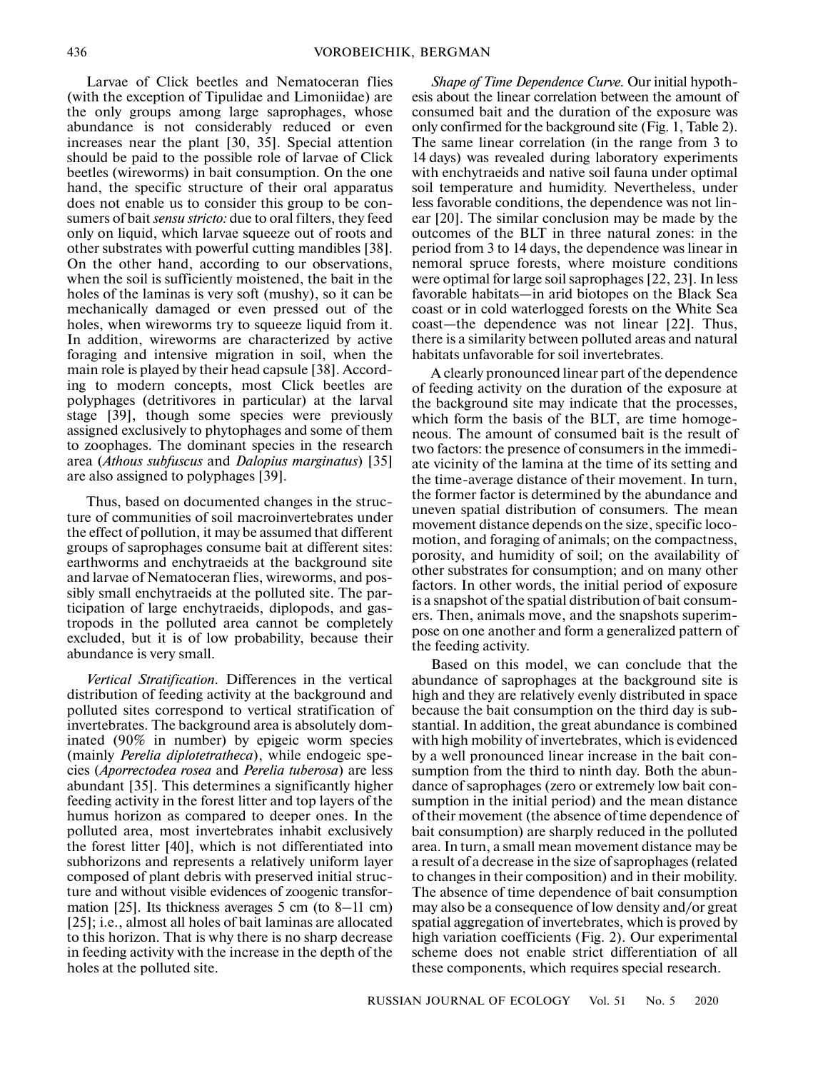Larvae of Click beetles and Nematoceran flies (with the exception of Tipulidae and Limoniidae) are the only groups among large saprophages, whose abundance is not considerably reduced or even increases near the plant [30, 35]. Special attention should be paid to the possible role of larvae of Click beetles (wireworms) in bait consumption. On the one hand, the specific structure of their oral apparatus does not enable us to consider this group to be consumers of bait *sensu stricto:* due to oral filters, they feed only on liquid, which larvae squeeze out of roots and other substrates with powerful cutting mandibles [38]. On the other hand, according to our observations, when the soil is sufficiently moistened, the bait in the holes of the laminas is very soft (mushy), so it can be mechanically damaged or even pressed out of the holes, when wireworms try to squeeze liquid from it. In addition, wireworms are characterized by active foraging and intensive migration in soil, when the main role is played by their head capsule [38]. According to modern concepts, most Click beetles are polyphages (detritivores in particular) at the larval stage [39], though some species were previously assigned exclusively to phytophages and some of them to zoophages. The dominant species in the research area (*Athous subfuscus* and *Dalopius marginatus*) [35] are also assigned to polyphages [39].

Thus, based on documented changes in the structure of communities of soil macroinvertebrates under the effect of pollution, it may be assumed that different groups of saprophages consume bait at different sites: earthworms and enchytraeids at the background site and larvae of Nematoceran flies, wireworms, and possibly small enchytraeids at the polluted site. The participation of large enchytraeids, diplopods, and gastropods in the polluted area cannot be completely excluded, but it is of low probability, because their abundance is very small.

*Vertical Stratification.* Differences in the vertical distribution of feeding activity at the background and polluted sites correspond to vertical stratification of invertebrates. The background area is absolutely dominated (90% in number) by epigeic worm species (mainly *Perelia diplotetratheca*), while endogeic species (*Aporrectodea rosea* and *Perelia tuberosa*) are less abundant [35]. This determines a significantly higher feeding activity in the forest litter and top layers of the humus horizon as compared to deeper ones. In the polluted area, most invertebrates inhabit exclusively the forest litter [40], which is not differentiated into subhorizons and represents a relatively uniform layer composed of plant debris with preserved initial structure and without visible evidences of zoogenic transformation [25]. Its thickness averages 5 cm (to 8–11 cm) [25]; i.e., almost all holes of bait laminas are allocated to this horizon. That is why there is no sharp decrease in feeding activity with the increase in the depth of the holes at the polluted site.

*Shape of Time Dependence Curve.* Our initial hypothesis about the linear correlation between the amount of consumed bait and the duration of the exposure was only confirmed for the background site (Fig. 1, Table 2). The same linear correlation (in the range from 3 to 14 days) was revealed during laboratory experiments with enchytraeids and native soil fauna under optimal soil temperature and humidity. Nevertheless, under less favorable conditions, the dependence was not linear [20]. The similar conclusion may be made by the outcomes of the BLT in three natural zones: in the period from 3 to 14 days, the dependence was linear in nemoral spruce forests, where moisture conditions were optimal for large soil saprophages [22, 23]. In less favorable habitats—in arid biotopes on the Black Sea coast or in cold waterlogged forests on the White Sea coast—the dependence was not linear [22]. Thus, there is a similarity between polluted areas and natural habitats unfavorable for soil invertebrates.

A clearly pronounced linear part of the dependence of feeding activity on the duration of the exposure at the background site may indicate that the processes, which form the basis of the BLT, are time homogeneous. The amount of consumed bait is the result of two factors: the presence of consumers in the immediate vicinity of the lamina at the time of its setting and the time-average distance of their movement. In turn, the former factor is determined by the abundance and uneven spatial distribution of consumers. The mean movement distance depends on the size, specific locomotion, and foraging of animals; on the compactness, porosity, and humidity of soil; on the availability of other substrates for consumption; and on many other factors. In other words, the initial period of exposure is a snapshot of the spatial distribution of bait consumers. Then, animals move, and the snapshots superimpose on one another and form a generalized pattern of the feeding activity.

Based on this model, we can conclude that the abundance of saprophages at the background site is high and they are relatively evenly distributed in space because the bait consumption on the third day is substantial. In addition, the great abundance is combined with high mobility of invertebrates, which is evidenced by a well pronounced linear increase in the bait consumption from the third to ninth day. Both the abundance of saprophages (zero or extremely low bait consumption in the initial period) and the mean distance of their movement (the absence of time dependence of bait consumption) are sharply reduced in the polluted area. In turn, a small mean movement distance may be a result of a decrease in the size of saprophages (related to changes in their composition) and in their mobility. The absence of time dependence of bait consumption may also be a consequence of low density and/or great spatial aggregation of invertebrates, which is proved by high variation coefficients (Fig. 2). Our experimental scheme does not enable strict differentiation of all these components, which requires special research.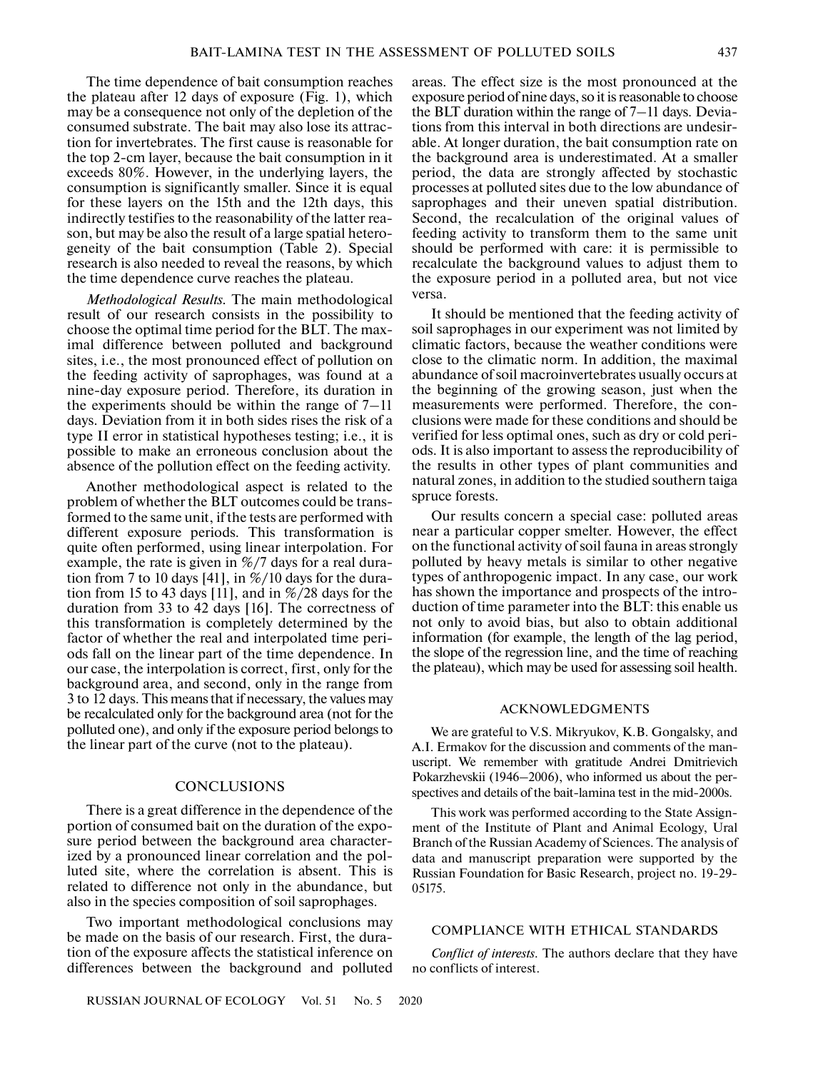The time dependence of bait consumption reaches the plateau after 12 days of exposure (Fig. 1), which may be a consequence not only of the depletion of the consumed substrate. The bait may also lose its attraction for invertebrates. The first cause is reasonable for the top 2-cm layer, because the bait consumption in it exceeds 80%. However, in the underlying layers, the consumption is significantly smaller. Since it is equal for these layers on the 15th and the 12th days, this indirectly testifies to the reasonability of the latter reason, but may be also the result of a large spatial heterogeneity of the bait consumption (Table 2). Special research is also needed to reveal the reasons, by which the time dependence curve reaches the plateau.

*Methodological Results.* The main methodological result of our research consists in the possibility to choose the optimal time period for the BLT. The maximal difference between polluted and background sites, i.e., the most pronounced effect of pollution on the feeding activity of saprophages, was found at a nine-day exposure period. Therefore, its duration in the experiments should be within the range of  $7-11$ days. Deviation from it in both sides rises the risk of a type II error in statistical hypotheses testing; i.e., it is possible to make an erroneous conclusion about the absence of the pollution effect on the feeding activity.

Another methodological aspect is related to the problem of whether the BLT outcomes could be transformed to the same unit, if the tests are performed with different exposure periods. This transformation is quite often performed, using linear interpolation. For example, the rate is given in %/7 days for a real duration from 7 to 10 days [41], in  $\frac{\cancel{0}}{\cancel{0}}$  days for the duration from 15 to 43 days [11], and in  $\frac{\frac{1}{2}}{28}$  days for the duration from 33 to 42 days [16]. The correctness of this transformation is completely determined by the factor of whether the real and interpolated time periods fall on the linear part of the time dependence. In our case, the interpolation is correct, first, only for the background area, and second, only in the range from 3 to 12 days. This means that if necessary, the values may be recalculated only for the background area (not for the polluted one), and only if the exposure period belongs to the linear part of the curve (not to the plateau).

# CONCLUSIONS

There is a great difference in the dependence of the portion of consumed bait on the duration of the exposure period between the background area characterized by a pronounced linear correlation and the polluted site, where the correlation is absent. This is related to difference not only in the abundance, but also in the species composition of soil saprophages.

Two important methodological conclusions may be made on the basis of our research. First, the duration of the exposure affects the statistical inference on differences between the background and polluted areas. The effect size is the most pronounced at the exposure period of nine days, so it is reasonable to choose the BLT duration within the range of 7–11 days. Deviations from this interval in both directions are undesirable. At longer duration, the bait consumption rate on the background area is underestimated. At a smaller period, the data are strongly affected by stochastic processes at polluted sites due to the low abundance of saprophages and their uneven spatial distribution. Second, the recalculation of the original values of feeding activity to transform them to the same unit should be performed with care: it is permissible to recalculate the background values to adjust them to the exposure period in a polluted area, but not vice versa.

It should be mentioned that the feeding activity of soil saprophages in our experiment was not limited by climatic factors, because the weather conditions were close to the climatic norm. In addition, the maximal abundance of soil macroinvertebrates usually occurs at the beginning of the growing season, just when the measurements were performed. Therefore, the conclusions were made for these conditions and should be verified for less optimal ones, such as dry or cold periods. It is also important to assess the reproducibility of the results in other types of plant communities and natural zones, in addition to the studied southern taiga spruce forests.

Our results concern a special case: polluted areas near a particular copper smelter. However, the effect on the functional activity of soil fauna in areas strongly polluted by heavy metals is similar to other negative types of anthropogenic impact. In any case, our work has shown the importance and prospects of the introduction of time parameter into the BLT: this enable us not only to avoid bias, but also to obtain additional information (for example, the length of the lag period, the slope of the regression line, and the time of reaching the plateau), which may be used for assessing soil health.

#### ACKNOWLEDGMENTS

We are grateful to V.S. Mikryukov, K.B. Gongalsky, and A.I. Ermakov for the discussion and comments of the manuscript. We remember with gratitude Andrei Dmitrievich Pokarzhevskii (1946–2006), who informed us about the perspectives and details of the bait-lamina test in the mid-2000s.

This work was performed according to the State Assignment of the Institute of Plant and Animal Ecology, Ural Branch of the Russian Academy of Sciences. The analysis of data and manuscript preparation were supported by the Russian Foundation for Basic Research, project no. 19-29- 05175.

## COMPLIANCE WITH ETHICAL STANDARDS

*Conflict of interests*. The authors declare that they have no conflicts of interest.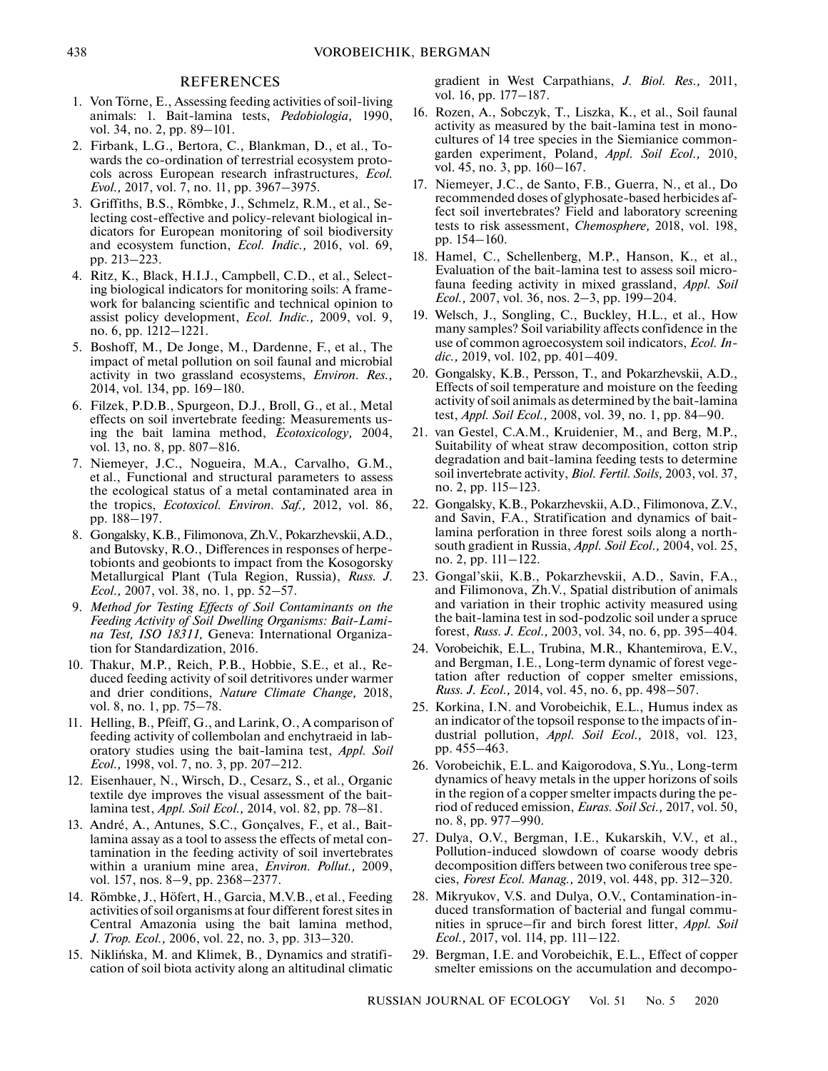#### REFERENCES

- 1. Von Törne, E., Assessing feeding activities of soil-living animals: 1. Bait-lamina tests, *Pedobiologia,* 1990, vol. 34, no. 2, pp. 89–101.
- 2. Firbank, L.G., Bertora, C., Blankman, D., et al., Towards the co-ordination of terrestrial ecosystem protocols across European research infrastructures, *Ecol. Evol.,* 2017, vol. 7, no. 11, pp. 3967–3975.
- 3. Griffiths, B.S., Römbke, J., Schmelz, R.M., et al., Selecting cost-effective and policy-relevant biological indicators for European monitoring of soil biodiversity and ecosystem function, *Ecol. Indic.,* 2016, vol. 69, pp. 213–223.
- 4. Ritz, K., Black, H.I.J., Campbell, C.D., et al., Selecting biological indicators for monitoring soils: A framework for balancing scientific and technical opinion to assist policy development, *Ecol. Indic.,* 2009, vol. 9, no. 6, pp. 1212–1221.
- 5. Boshoff, M., De Jonge, M., Dardenne, F., et al., The impact of metal pollution on soil faunal and microbial activity in two grassland ecosystems, *Environ. Res.,* 2014, vol. 134, pp. 169–180.
- 6. Filzek, P.D.B., Spurgeon, D.J., Broll, G., et al., Metal effects on soil invertebrate feeding: Measurements using the bait lamina method, *Ecotoxicology,* 2004, vol. 13, no. 8, pp. 807–816.
- 7. Niemeyer, J.C., Nogueira, M.A., Carvalho, G.M., et al., Functional and structural parameters to assess the ecological status of a metal contaminated area in the tropics, *Ecotoxicol. Environ. Saf.,* 2012, vol. 86, pp. 188–197.
- 8. Gongalsky, K.B., Filimonova, Zh.V., Pokarzhevskii, A.D., and Butovsky, R.O., Differences in responses of herpetobionts and geobionts to impact from the Kosogorsky Metallurgical Plant (Tula Region, Russia), *Russ. J. Ecol.,* 2007, vol. 38, no. 1, pp. 52–57.
- 9. *Method for Testing Effects of Soil Contaminants on the Feeding Activity of Soil Dwelling Organisms: Bait-Lamina Test, ISO 18311,* Geneva: International Organization for Standardization, 2016.
- 10. Thakur, M.P., Reich, P.B., Hobbie, S.E., et al., Reduced feeding activity of soil detritivores under warmer and drier conditions, *Nature Climate Change,* 2018, vol. 8, no. 1, pp. 75–78.
- 11. Helling, B., Pfeiff, G., and Larink, O., A comparison of feeding activity of collembolan and enchytraeid in laboratory studies using the bait-lamina test, *Appl. Soil Ecol.,* 1998, vol. 7, no. 3, pp. 207–212.
- 12. Eisenhauer, N., Wirsch, D., Cesarz, S., et al., Organic textile dye improves the visual assessment of the baitlamina test, *Appl. Soil Ecol.,* 2014, vol. 82, pp. 78–81.
- 13. André, A., Antunes, S.C., Gonçalves, F., et al., Baitlamina assay as a tool to assess the effects of metal contamination in the feeding activity of soil invertebrates within a uranium mine area, *Environ. Pollut.,* 2009, vol. 157, nos. 8–9, pp. 2368–2377.
- 14. Römbke, J., Höfert, H., Garcia, M.V.B., et al., Feeding activities of soil organisms at four different forest sites in Central Amazonia using the bait lamina method, *J. Trop. Ecol.,* 2006, vol. 22, no. 3, pp. 313–320.
- 15. Niklińska, M. and Klimek, B., Dynamics and stratification of soil biota activity along an altitudinal climatic

gradient in West Carpathians, *J. Biol. Res.,* 2011, vol. 16, pp. 177–187.

- 16. Rozen, A., Sobczyk, T., Liszka, K., et al., Soil faunal activity as measured by the bait-lamina test in monocultures of 14 tree species in the Siemianice commongarden experiment, Poland, *Appl. Soil Ecol.,* 2010, vol. 45, no. 3, pp. 160–167.
- 17. Niemeyer, J.C., de Santo, F.B., Guerra, N., et al., Do recommended doses of glyphosate-based herbicides affect soil invertebrates? Field and laboratory screening tests to risk assessment, *Chemosphere,* 2018, vol. 198, pp. 154–160.
- 18. Hamel, C., Schellenberg, M.P., Hanson, K., et al., Evaluation of the bait-lamina test to assess soil microfauna feeding activity in mixed grassland, *Appl. Soil Ecol.,* 2007, vol. 36, nos. 2–3, pp. 199–204.
- 19. Welsch, J., Songling, C., Buckley, H.L., et al., How many samples? Soil variability affects confidence in the use of common agroecosystem soil indicators, *Ecol. Indic.,* 2019, vol. 102, pp. 401–409.
- 20. Gongalsky, K.B., Persson, T., and Pokarzhevskii, A.D., Effects of soil temperature and moisture on the feeding activity of soil animals as determined by the bait-lamina test, *Appl. Soil Ecol.,* 2008, vol. 39, no. 1, pp. 84–90.
- 21. van Gestel, C.A.M., Kruidenier, M., and Berg, M.P., Suitability of wheat straw decomposition, cotton strip degradation and bait-lamina feeding tests to determine soil invertebrate activity, *Biol. Fertil. Soils,* 2003, vol. 37, no. 2, pp. 115–123.
- 22. Gongalsky, K.B., Pokarzhevskii, A.D., Filimonova, Z.V., and Savin, F.A., Stratification and dynamics of baitlamina perforation in three forest soils along a northsouth gradient in Russia, *Appl. Soil Ecol.,* 2004, vol. 25, no. 2, pp. 111–122.
- 23. Gongal'skii, K.B., Pokarzhevskii, A.D., Savin, F.A., and Filimonova, Zh.V., Spatial distribution of animals and variation in their trophic activity measured using the bait-lamina test in sod-podzolic soil under a spruce forest, *Russ. J. Ecol.,* 2003, vol. 34, no. 6, pp. 395–404.
- 24. Vorobeichik, E.L., Trubina, M.R., Khantemirova, E.V., and Bergman, I.E., Long-term dynamic of forest vegetation after reduction of copper smelter emissions, *Russ. J. Ecol.,* 2014, vol. 45, no. 6, pp. 498–507.
- 25. Korkina, I.N. and Vorobeichik, E.L., Humus index as an indicator of the topsoil response to the impacts of industrial pollution, *Appl. Soil Ecol.,* 2018, vol. 123, pp. 455–463.
- 26. Vorobeichik, E.L. and Kaigorodova, S.Yu., Long-term dynamics of heavy metals in the upper horizons of soils in the region of a copper smelter impacts during the period of reduced emission, *Euras. Soil Sci.,* 2017, vol. 50, no. 8, pp. 977–990.
- 27. Dulya, O.V., Bergman, I.E., Kukarskih, V.V., et al., Pollution-induced slowdown of coarse woody debris decomposition differs between two coniferous tree species, *Forest Ecol. Manag.,* 2019, vol. 448, pp. 312–320.
- 28. Mikryukov, V.S. and Dulya, O.V., Contamination-induced transformation of bacterial and fungal communities in spruce–fir and birch forest litter, *Appl. Soil Ecol.,* 2017, vol. 114, pp. 111–122.
- 29. Bergman, I.E. and Vorobeichik, E.L., Effect of copper smelter emissions on the accumulation and decompo-